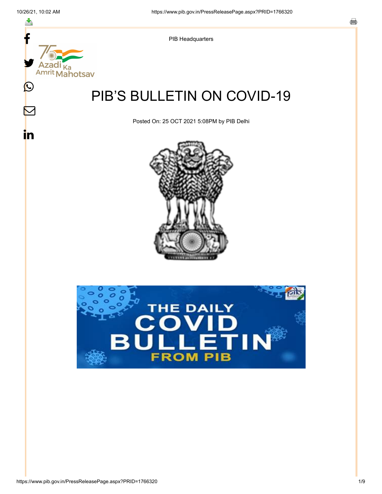스

 $\boldsymbol{\mathsf{M}}$ 

in



PIB Headquarters

# PIB'S BULLETIN ON COVID-19

Posted On: 25 OCT 2021 5:08PM by PIB Delhi



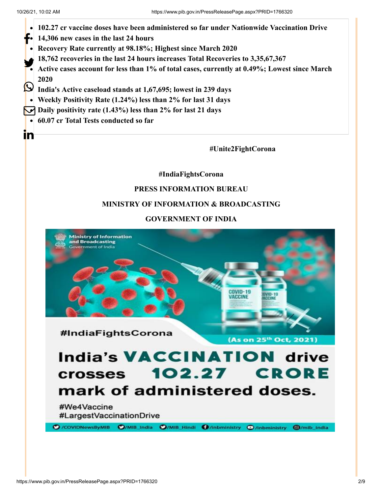



mark of administered doses.

#We4Vaccine #LargestVaccinationDrive

O /COVIDNewsByMIB O/MIB\_India O/MIB\_Hindi O/Inbministry O/Inbministry O/mib\_india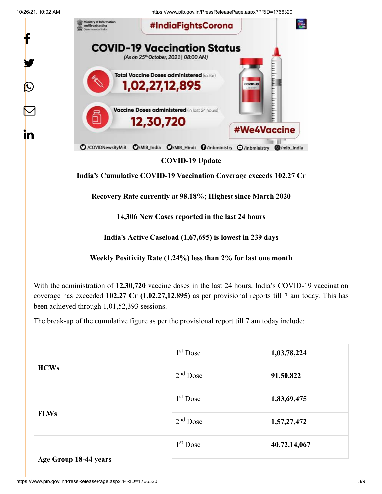f

y.

 $\boldsymbol{\mathsf{Q}}$ 

 $\sum$ 

in

10/26/21, 10:02 AM https://www.pib.gov.in/PressReleasePage.aspx?PRID=1766320



**COVID-19 Update**

**India's Cumulative COVID-19 Vaccination Coverage exceeds 102.27 Cr**

**Recovery Rate currently at 98.18%; Highest since March 2020**

**14,306 New Cases reported in the last 24 hours**

**India's Active Caseload (1,67,695) is lowest in 239 days**

**Weekly Positivity Rate (1.24%) less than 2% for last one month**

With the administration of **12,30,720** vaccine doses in the last 24 hours, India's COVID-19 vaccination coverage has exceeded **102.27 Cr (1,02,27,12,895)** as per provisional reports till 7 am today. This has been achieved through 1,01,52,393 sessions.

The break-up of the cumulative figure as per the provisional report till 7 am today include:

| <b>HCWs</b>           | $1st$ Dose | 1,03,78,224  |
|-----------------------|------------|--------------|
|                       | $2nd$ Dose | 91,50,822    |
|                       | $1st$ Dose | 1,83,69,475  |
| <b>FLWs</b>           | $2nd$ Dose | 1,57,27,472  |
|                       | $1st$ Dose | 40,72,14,067 |
| Age Group 18-44 years |            |              |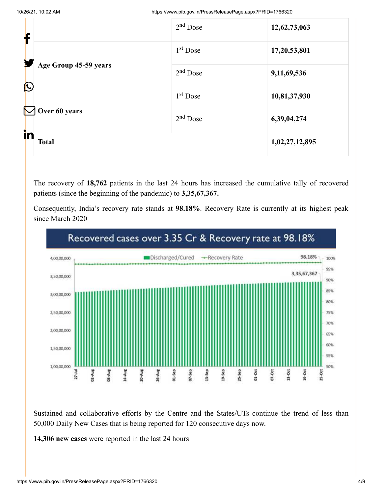| f                     |                       | $2nd$ Dose | 12,62,73,063   |
|-----------------------|-----------------------|------------|----------------|
|                       |                       | $1st$ Dose | 17,20,53,801   |
| $\bigcirc$            | Age Group 45-59 years | $2nd$ Dose | 9,11,69,536    |
|                       |                       | $1st$ Dose | 10,81,37,930   |
| $\boldsymbol{\nabla}$ | Over 60 years         | $2nd$ Dose | 6,39,04,274    |
| in                    | <b>Total</b>          |            | 1,02,27,12,895 |

The recovery of **18,762** patients in the last 24 hours has increased the cumulative tally of recovered patients (since the beginning of the pandemic) to **3,35,67,367.**

Consequently, India's recovery rate stands at **98.18%**. Recovery Rate is currently at its highest peak since March 2020



Sustained and collaborative efforts by the Centre and the States/UTs continue the trend of less than 50,000 Daily New Cases that is being reported for 120 consecutive days now.

**14,306 new cases** were reported in the last 24 hours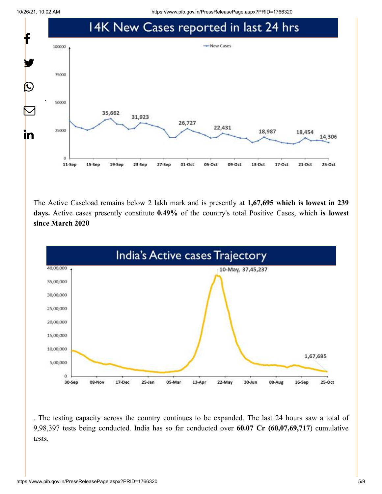10/26/21, 10:02 AM https://www.pib.gov.in/PressReleasePage.aspx?PRID=1766320



The Active Caseload remains below 2 lakh mark and is presently at **1,67,695 which is lowest in 239 days.** Active cases presently constitute **0.49%** of the country's total Positive Cases, which **is lowest since March 2020**



. The testing capacity across the country continues to be expanded. The last 24 hours saw a total of 9,98,397 tests being conducted. India has so far conducted over **60.07 Cr (60,07,69,717**) cumulative tests.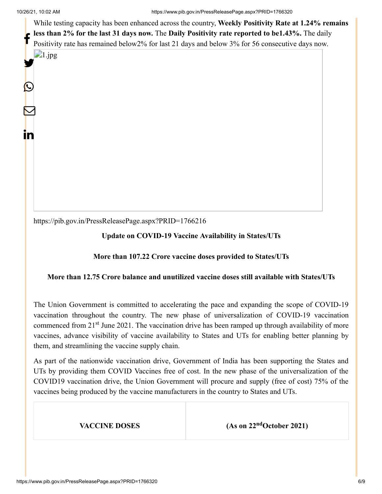While testing capacity has been enhanced across the country, **Weekly Positivity Rate at 1.24% remains less than 2% for the last 31 days now.** The **Daily Positivity rate reported to be1.43%.** The daily Positivity rate has remained below2% for last 21 days and below 3% for 56 consecutive days now.  $\Box$ 1.jpg f

y

 $\bm{\mathcal{Q}}$ 

 $\mathbf \Xi$ 

in

<https://pib.gov.in/PressReleasePage.aspx?PRID=1766216>

### **Update on COVID-19 Vaccine Availability in States/UTs**

#### **More than 107.22 Crore vaccine doses provided to States/UTs**

#### **More than 12.75 Crore balance and unutilized vaccine doses still available with States/UTs**

The Union Government is committed to accelerating the pace and expanding the scope of COVID-19 vaccination throughout the country. The new phase of universalization of COVID-19 vaccination commenced from 21<sup>st</sup> June 2021. The vaccination drive has been ramped up through availability of more vaccines, advance visibility of vaccine availability to States and UTs for enabling better planning by them, and streamlining the vaccine supply chain.

As part of the nationwide vaccination drive, Government of India has been supporting the States and UTs by providing them COVID Vaccines free of cost. In the new phase of the universalization of the COVID19 vaccination drive, the Union Government will procure and supply (free of cost) 75% of the vaccines being produced by the vaccine manufacturers in the country to States and UTs.

**VACCINE DOSES** (As on 22<sup>nd</sup>October 2021)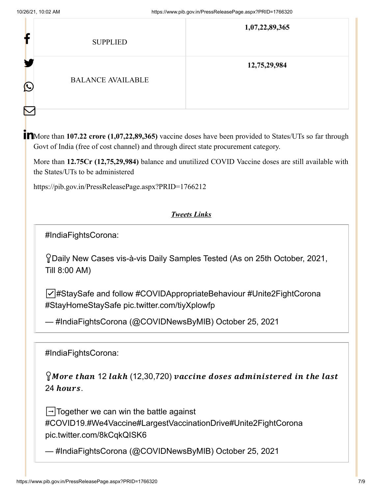| r                 | <b>SUPPLIED</b>          | 1,07,22,89,365 |
|-------------------|--------------------------|----------------|
| ш<br>$\bf \Omega$ | <b>BALANCE AVAILABLE</b> | 12,75,29,984   |

More than **107.22 crore (1,07,22,89,365)** vaccine doses have been provided to States/UTs so far through Govt of India (free of cost channel) and through direct state procurement category.

More than **12.75Cr (12,75,29,984)** balance and unutilized COVID Vaccine doses are still available with the States/UTs to be administered

<https://pib.gov.in/PressReleasePage.aspx?PRID=1766212>

## *Tweets Links*

[#IndiaFightsCorona](https://twitter.com/hashtag/IndiaFightsCorona?src=hash&ref_src=twsrc%5Etfw):

Daily New Cases vis-à-vis Daily Samples Tested (As on 25th October, 2021, Till 8:00 AM)

☑️[#StaySafe](https://twitter.com/hashtag/StaySafe?src=hash&ref_src=twsrc%5Etfw) and follow [#COVIDAppropriateBehaviour](https://twitter.com/hashtag/COVIDAppropriateBehaviour?src=hash&ref_src=twsrc%5Etfw) [#Unite2FightCorona](https://twitter.com/hashtag/Unite2FightCorona?src=hash&ref_src=twsrc%5Etfw) [#StayHomeStaySafe](https://twitter.com/hashtag/StayHomeStaySafe?src=hash&ref_src=twsrc%5Etfw) [pic.twitter.com/tiyXplowfp](https://t.co/tiyXplowfp)

— #IndiaFightsCorona (@COVIDNewsByMIB) [October 25, 2021](https://twitter.com/COVIDNewsByMIB/status/1452547767159582723?ref_src=twsrc%5Etfw)

[#IndiaFightsCorona](https://twitter.com/hashtag/IndiaFightsCorona?src=hash&ref_src=twsrc%5Etfw):

 $\Omega$ More than 12 lakh (12,30,720) vaccine doses administered in the last 24 hours.

 $\Box$ Together we can win the battle against [#COVID19](https://twitter.com/hashtag/COVID19?src=hash&ref_src=twsrc%5Etfw)[.#We4Vaccine](https://twitter.com/hashtag/We4Vaccine?src=hash&ref_src=twsrc%5Etfw)[#LargestVaccinationDrive](https://twitter.com/hashtag/LargestVaccinationDrive?src=hash&ref_src=twsrc%5Etfw)[#Unite2FightCorona](https://twitter.com/hashtag/Unite2FightCorona?src=hash&ref_src=twsrc%5Etfw) [pic.twitter.com/8kCqkQISK6](https://t.co/8kCqkQISK6)

— #IndiaFightsCorona (@COVIDNewsByMIB) [October 25, 2021](https://twitter.com/COVIDNewsByMIB/status/1452553789819416581?ref_src=twsrc%5Etfw)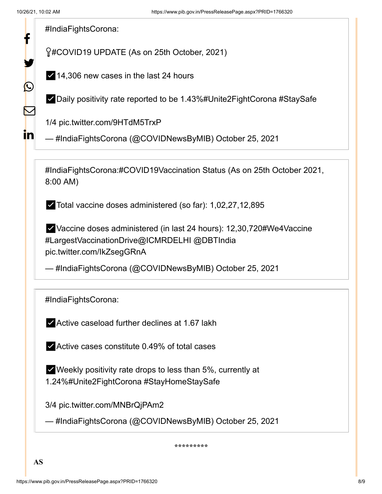f

У.

 $\bigcirc$ 

 $\bf \nabla$ 

in

[#IndiaFightsCorona](https://twitter.com/hashtag/IndiaFightsCorona?src=hash&ref_src=twsrc%5Etfw):

[#COVID19](https://twitter.com/hashtag/COVID19?src=hash&ref_src=twsrc%5Etfw) UPDATE (As on 25th October, 2021)

✅14,306 new cases in the last 24 hours

✅Daily positivity rate reported to be 1.43%[#Unite2FightCorona](https://twitter.com/hashtag/Unite2FightCorona?src=hash&ref_src=twsrc%5Etfw) [#StaySafe](https://twitter.com/hashtag/StaySafe?src=hash&ref_src=twsrc%5Etfw)

1/4 [pic.twitter.com/9HTdM5TrxP](https://t.co/9HTdM5TrxP)

— #IndiaFightsCorona (@COVIDNewsByMIB) [October 25, 2021](https://twitter.com/COVIDNewsByMIB/status/1452500184722669573?ref_src=twsrc%5Etfw)

[#IndiaFightsCorona](https://twitter.com/hashtag/IndiaFightsCorona?src=hash&ref_src=twsrc%5Etfw):[#COVID19Vaccination](https://twitter.com/hashtag/COVID19Vaccination?src=hash&ref_src=twsrc%5Etfw) Status (As on 25th October 2021, 8:00 AM)

✅Total vaccine doses administered (so far): 1,02,27,12,895

✅Vaccine doses administered (in last 24 hours): 12,30,72[0#We4Vaccine](https://twitter.com/hashtag/We4Vaccine?src=hash&ref_src=twsrc%5Etfw) [#LargestVaccinationDrive](https://twitter.com/hashtag/LargestVaccinationDrive?src=hash&ref_src=twsrc%5Etfw)[@ICMRDELHI](https://twitter.com/ICMRDELHI?ref_src=twsrc%5Etfw) [@DBTIndia](https://twitter.com/DBTIndia?ref_src=twsrc%5Etfw) [pic.twitter.com/IkZsegGRnA](https://t.co/IkZsegGRnA)

— #IndiaFightsCorona (@COVIDNewsByMIB) [October 25, 2021](https://twitter.com/COVIDNewsByMIB/status/1452491634189299712?ref_src=twsrc%5Etfw)

[#IndiaFightsCorona](https://twitter.com/hashtag/IndiaFightsCorona?src=hash&ref_src=twsrc%5Etfw):

✅Active caseload further declines at 1.67 lakh

✅Active cases constitute 0.49% of total cases

 $\blacktriangleright$  Weekly positivity rate drops to less than 5%, currently at 1.24%[#Unite2FightCorona](https://twitter.com/hashtag/Unite2FightCorona?src=hash&ref_src=twsrc%5Etfw) [#StayHomeStaySafe](https://twitter.com/hashtag/StayHomeStaySafe?src=hash&ref_src=twsrc%5Etfw)

3/4 [pic.twitter.com/MNBrQjPAm2](https://t.co/MNBrQjPAm2)

— #IndiaFightsCorona (@COVIDNewsByMIB) [October 25, 2021](https://twitter.com/COVIDNewsByMIB/status/1452500217576624132?ref_src=twsrc%5Etfw)

**\*\*\*\*\*\*\*\*\***